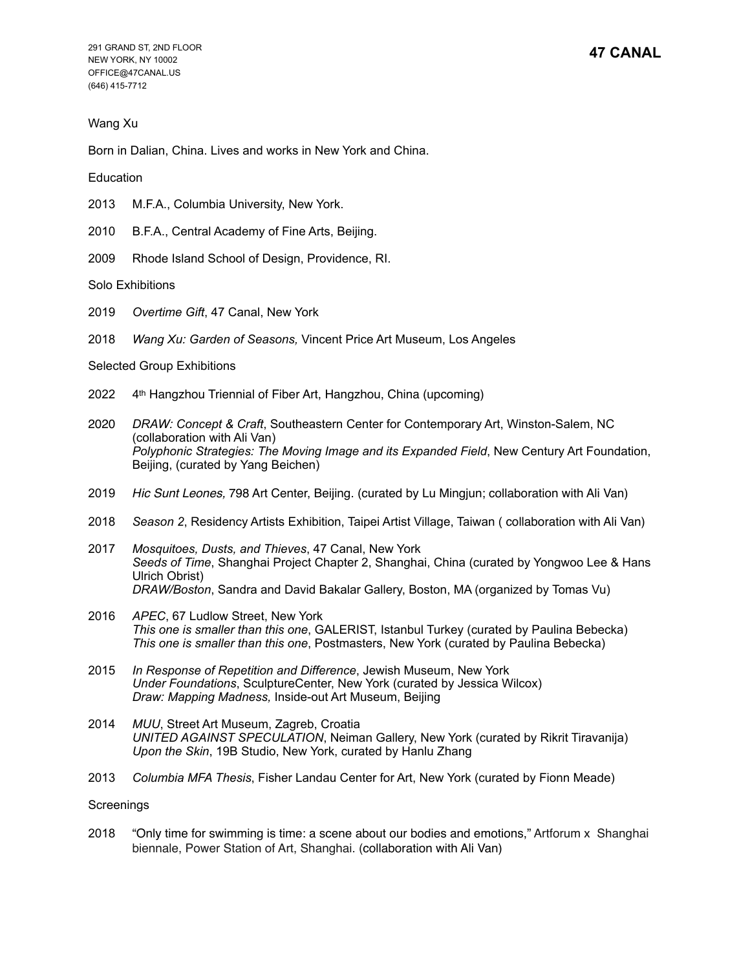# Wang Xu

Born in Dalian, China. Lives and works in New York and China.

Education

- 2013 M.F.A., Columbia University, New York.
- 2010 B.F.A., Central Academy of Fine Arts, Beijing.
- 2009 Rhode Island School of Design, Providence, RI.

Solo Exhibitions

- 2019 *Overtime Gift*, 47 Canal, New York
- 2018 *Wang Xu: Garden of Seasons,* Vincent Price Art Museum, Los Angeles

### Selected Group Exhibitions

- 2022 4th Hangzhou Triennial of Fiber Art, Hangzhou, China (upcoming)
- 2020 *DRAW: Concept & Craft*, Southeastern Center for Contemporary Art, Winston-Salem, NC (collaboration with Ali Van) *Polyphonic Strategies: The Moving Image and its Expanded Field*, New Century Art Foundation, Beijing, (curated by Yang Beichen)
- 2019 *Hic Sunt Leones,* 798 Art Center, Beijing. (curated by Lu Mingjun; collaboration with Ali Van)
- 2018 *Season 2*, Residency Artists Exhibition, Taipei Artist Village, Taiwan ( collaboration with Ali Van)
- 2017 *Mosquitoes, Dusts, and Thieves*, 47 Canal, New York *Seeds of Time*, Shanghai Project Chapter 2, Shanghai, China (curated by Yongwoo Lee & Hans Ulrich Obrist) *DRAW/Boston*, Sandra and David Bakalar Gallery, Boston, MA (organized by Tomas Vu)
- 2016 *APEC*, 67 Ludlow Street, New York *This one is smaller than this one*, GALERIST, Istanbul Turkey (curated by Paulina Bebecka) *This one is smaller than this one*, Postmasters, New York (curated by Paulina Bebecka)
- 2015 *In Response of Repetition and Difference*, Jewish Museum, New York *Under Foundations*, SculptureCenter, New York (curated by Jessica Wilcox) *Draw: Mapping Madness,* Inside-out Art Museum, Beijing
- 2014 *MUU*, Street Art Museum, Zagreb, Croatia *UNITED AGAINST SPECULATION*, Neiman Gallery, New York (curated by Rikrit Tiravanija) *Upon the Skin*, 19B Studio, New York, curated by Hanlu Zhang
- 2013 *Columbia MFA Thesis*, Fisher Landau Center for Art, New York (curated by Fionn Meade)

### **Screenings**

2018 "Only time for swimming is time: a scene about our bodies and emotions," Artforum x Shanghai biennale, Power Station of Art, Shanghai. (collaboration with Ali Van)